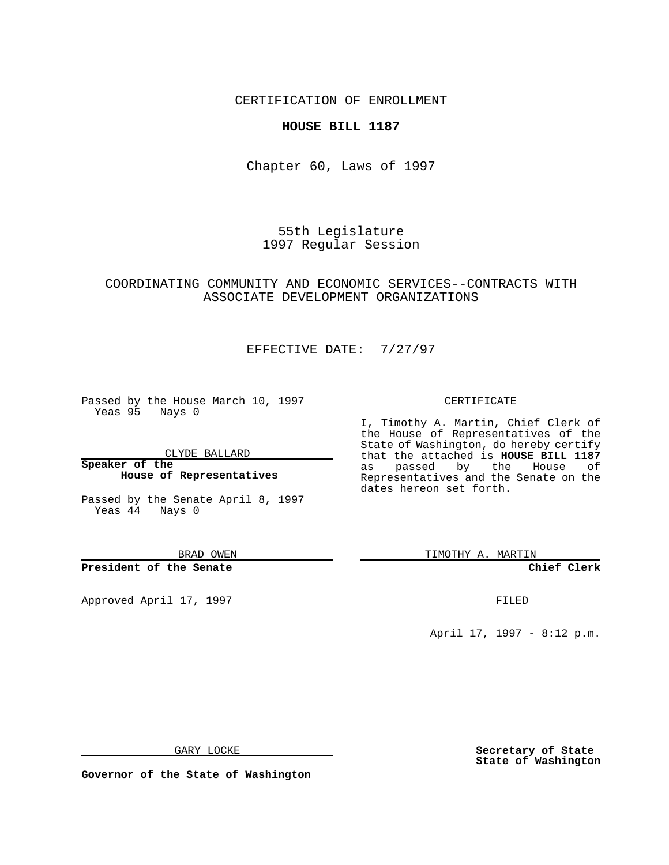CERTIFICATION OF ENROLLMENT

### **HOUSE BILL 1187**

Chapter 60, Laws of 1997

55th Legislature 1997 Regular Session

### COORDINATING COMMUNITY AND ECONOMIC SERVICES--CONTRACTS WITH ASSOCIATE DEVELOPMENT ORGANIZATIONS

# EFFECTIVE DATE: 7/27/97

Passed by the House March 10, 1997 Yeas 95 Nays 0

CLYDE BALLARD

**Speaker of the House of Representatives**

Passed by the Senate April 8, 1997 Yeas 44 Nays 0

BRAD OWEN

**President of the Senate**

Approved April 17, 1997 **FILED** 

#### CERTIFICATE

I, Timothy A. Martin, Chief Clerk of the House of Representatives of the State of Washington, do hereby certify that the attached is **HOUSE BILL 1187** as passed by the House of Representatives and the Senate on the dates hereon set forth.

TIMOTHY A. MARTIN

**Chief Clerk**

April 17, 1997 - 8:12 p.m.

GARY LOCKE

**Governor of the State of Washington**

**Secretary of State State of Washington**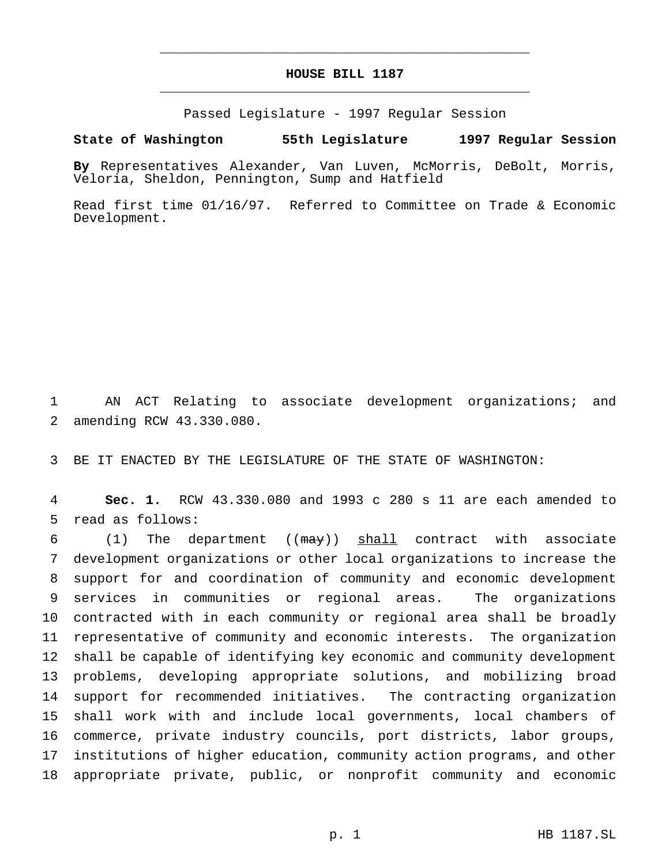# **HOUSE BILL 1187** \_\_\_\_\_\_\_\_\_\_\_\_\_\_\_\_\_\_\_\_\_\_\_\_\_\_\_\_\_\_\_\_\_\_\_\_\_\_\_\_\_\_\_\_\_\_\_

\_\_\_\_\_\_\_\_\_\_\_\_\_\_\_\_\_\_\_\_\_\_\_\_\_\_\_\_\_\_\_\_\_\_\_\_\_\_\_\_\_\_\_\_\_\_\_

Passed Legislature - 1997 Regular Session

#### **State of Washington 55th Legislature 1997 Regular Session**

**By** Representatives Alexander, Van Luven, McMorris, DeBolt, Morris, Veloria, Sheldon, Pennington, Sump and Hatfield

Read first time 01/16/97. Referred to Committee on Trade & Economic Development.

 AN ACT Relating to associate development organizations; and amending RCW 43.330.080.

BE IT ENACTED BY THE LEGISLATURE OF THE STATE OF WASHINGTON:

 **Sec. 1.** RCW 43.330.080 and 1993 c 280 s 11 are each amended to read as follows:

6 (1) The department ( $(\text{max})$ ) shall contract with associate development organizations or other local organizations to increase the support for and coordination of community and economic development services in communities or regional areas. The organizations contracted with in each community or regional area shall be broadly representative of community and economic interests. The organization shall be capable of identifying key economic and community development problems, developing appropriate solutions, and mobilizing broad support for recommended initiatives. The contracting organization shall work with and include local governments, local chambers of commerce, private industry councils, port districts, labor groups, institutions of higher education, community action programs, and other appropriate private, public, or nonprofit community and economic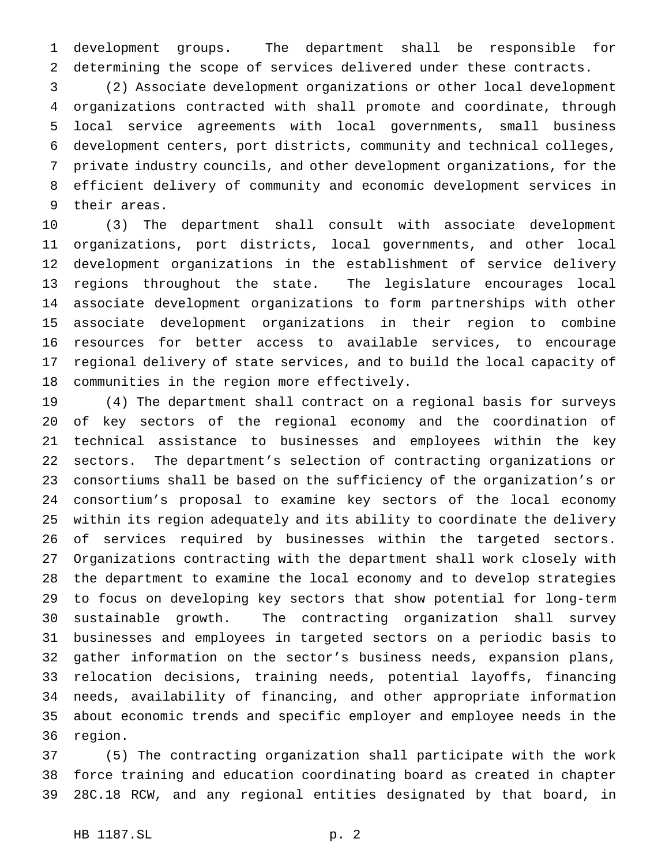development groups. The department shall be responsible for determining the scope of services delivered under these contracts.

 (2) Associate development organizations or other local development organizations contracted with shall promote and coordinate, through local service agreements with local governments, small business development centers, port districts, community and technical colleges, private industry councils, and other development organizations, for the efficient delivery of community and economic development services in their areas.

 (3) The department shall consult with associate development organizations, port districts, local governments, and other local development organizations in the establishment of service delivery regions throughout the state. The legislature encourages local associate development organizations to form partnerships with other associate development organizations in their region to combine resources for better access to available services, to encourage regional delivery of state services, and to build the local capacity of communities in the region more effectively.

 (4) The department shall contract on a regional basis for surveys of key sectors of the regional economy and the coordination of technical assistance to businesses and employees within the key sectors. The department's selection of contracting organizations or consortiums shall be based on the sufficiency of the organization's or consortium's proposal to examine key sectors of the local economy within its region adequately and its ability to coordinate the delivery of services required by businesses within the targeted sectors. Organizations contracting with the department shall work closely with the department to examine the local economy and to develop strategies to focus on developing key sectors that show potential for long-term sustainable growth. The contracting organization shall survey businesses and employees in targeted sectors on a periodic basis to gather information on the sector's business needs, expansion plans, relocation decisions, training needs, potential layoffs, financing needs, availability of financing, and other appropriate information about economic trends and specific employer and employee needs in the region.

 (5) The contracting organization shall participate with the work force training and education coordinating board as created in chapter 28C.18 RCW, and any regional entities designated by that board, in